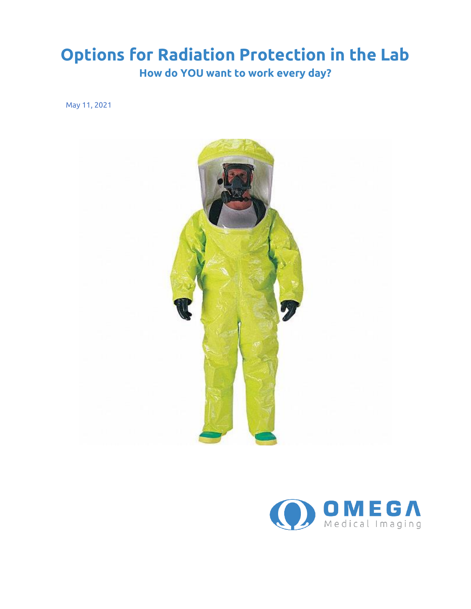## **Options for Radiation Protection in the Lab**

**How do YOU want to work every day?**

May 11, 2021



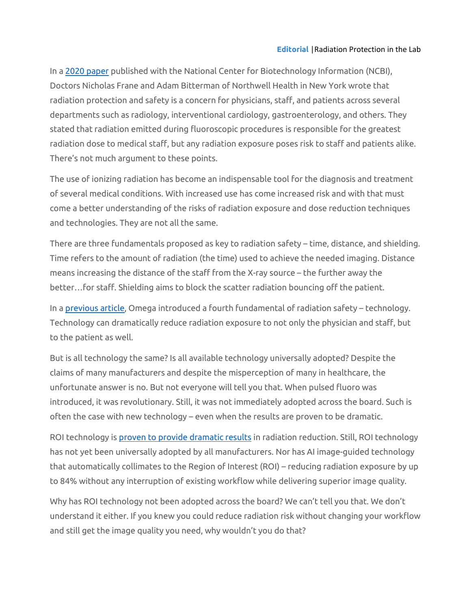In a [2020 paper](https://www.ncbi.nlm.nih.gov/books/NBK557499/) published with the National Center for Biotechnology Information (NCBI), Doctors Nicholas Frane and Adam Bitterman of Northwell Health in New York wrote that radiation protection and safety is a concern for physicians, staff, and patients across several departments such as radiology, interventional cardiology, gastroenterology, and others. They stated that radiation emitted during fluoroscopic procedures is responsible for the greatest radiation dose to medical staff, but any radiation exposure poses risk to staff and patients alike. There's not much argument to these points.

The use of ionizing radiation has become an indispensable tool for the diagnosis and treatment of several medical conditions. With increased use has come increased risk and with that must come a better understanding of the risks of radiation exposure and dose reduction techniques and technologies. They are not all the same.

There are three fundamentals proposed as key to radiation safety – time, distance, and shielding. Time refers to the amount of radiation (the time) used to achieve the needed imaging. Distance means increasing the distance of the staff from the X-ray source – the further away the better…for staff. Shielding aims to block the scatter radiation bouncing off the patient.

In a [previous article,](https://www.omegamedicalimaging.com/radiation-exposure-and-safety-in-cardiology-a-fourth-fundamental-of-radiation-safety/) Omega introduced a fourth fundamental of radiation safety – technology. Technology can dramatically reduce radiation exposure to not only the physician and staff, but to the patient as well.

But is all technology the same? Is all available technology universally adopted? Despite the claims of many manufacturers and despite the misperception of many in healthcare, the unfortunate answer is no. But not everyone will tell you that. When pulsed fluoro was introduced, it was revolutionary. Still, it was not immediately adopted across the board. Such is often the case with new technology – even when the results are proven to be dramatic.

ROI technology i[s proven to provide dramatic results](https://www.omegamedicalimaging.com/clinical-data/key-clinical-data/#RadCompare) in radiation reduction. Still, ROI technology has not yet been universally adopted by all manufacturers. Nor has AI image-guided technology that automatically collimates to the Region of Interest (ROI) – reducing radiation exposure by up to 84% without any interruption of existing workflow while delivering superior image quality.

Why has ROI technology not been adopted across the board? We can't tell you that. We don't understand it either. If you knew you could reduce radiation risk without changing your workflow and still get the image quality you need, why wouldn't you do that?